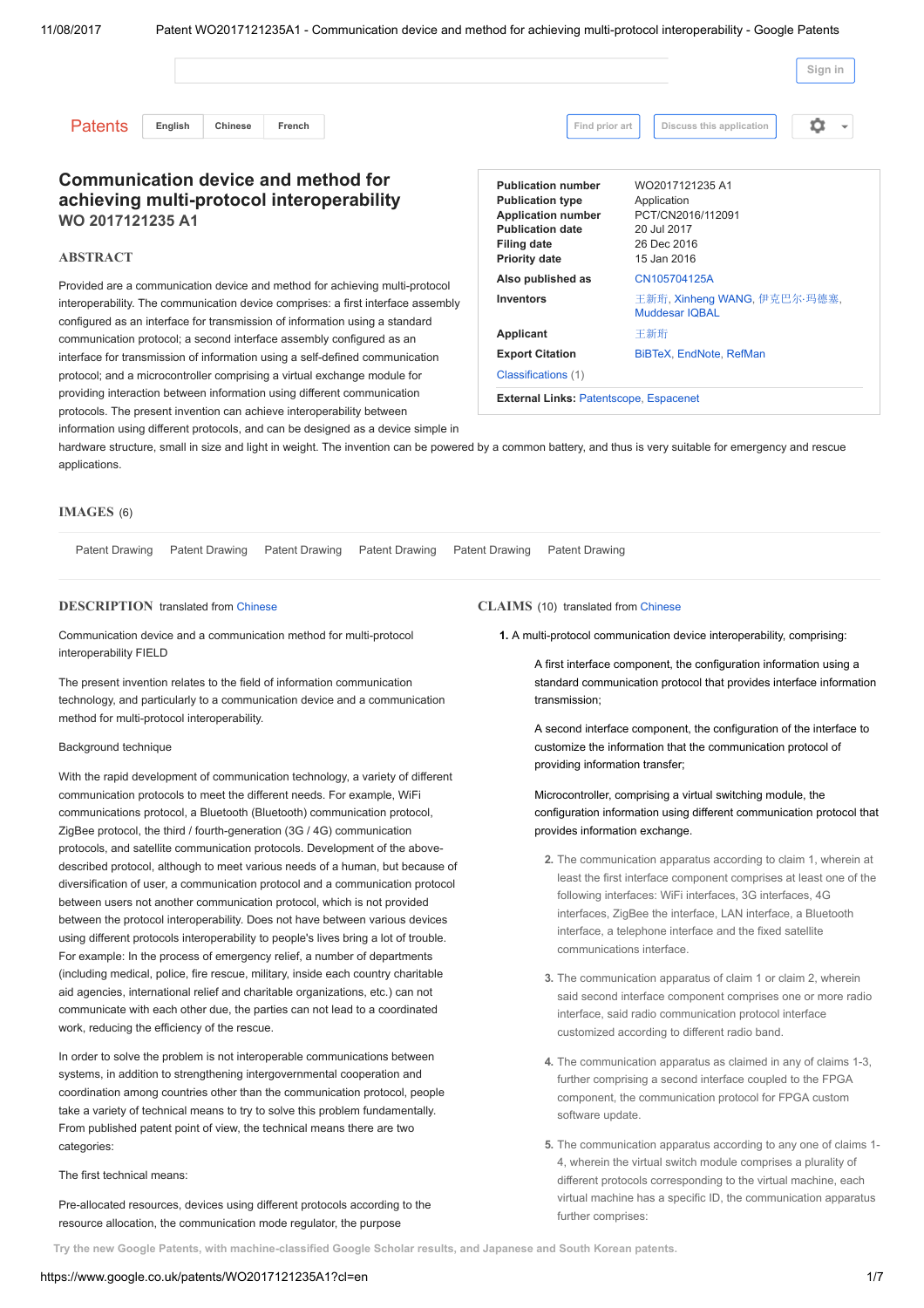|                                                                                                                                                     |         |         |        |                                                                                                                                                          |                                                                                                                                                            | Sign in                                                                                          |  |  |
|-----------------------------------------------------------------------------------------------------------------------------------------------------|---------|---------|--------|----------------------------------------------------------------------------------------------------------------------------------------------------------|------------------------------------------------------------------------------------------------------------------------------------------------------------|--------------------------------------------------------------------------------------------------|--|--|
| <b>Patents</b>                                                                                                                                      | English | Chinese | French |                                                                                                                                                          | Find prior art                                                                                                                                             | 0<br>Discuss this application                                                                    |  |  |
| <b>Communication device and method for</b><br>achieving multi-protocol interoperability<br>WO 2017121235 A1<br><b>ABSTRACT</b>                      |         |         |        |                                                                                                                                                          | <b>Publication number</b><br><b>Publication type</b><br><b>Application number</b><br><b>Publication date</b><br><b>Filing date</b><br><b>Priority date</b> | WO2017121235 A1<br>Application<br>PCT/CN2016/112091<br>20 Jul 2017<br>26 Dec 2016<br>15 Jan 2016 |  |  |
|                                                                                                                                                     |         |         |        | Provided are a communication device and method for achieving multi-protocol                                                                              | Also published as                                                                                                                                          | CN105704125A                                                                                     |  |  |
| interoperability. The communication device comprises: a first interface assembly                                                                    |         |         |        |                                                                                                                                                          | <b>Inventors</b>                                                                                                                                           | 王新珩, Xinheng WANG, 伊克巴尔·玛德塞,<br><b>Muddesar IQBAL</b>                                            |  |  |
| configured as an interface for transmission of information using a standard<br>communication protocol; a second interface assembly configured as an |         |         |        |                                                                                                                                                          | Applicant                                                                                                                                                  | 王新珩                                                                                              |  |  |
|                                                                                                                                                     |         |         |        |                                                                                                                                                          | <b>Export Citation</b>                                                                                                                                     | BiBTeX, EndNote, RefMan                                                                          |  |  |
|                                                                                                                                                     |         |         |        | interface for transmission of information using a self-defined communication<br>protocol; and a microcontroller comprising a virtual exchange module for | Classifications (1)                                                                                                                                        |                                                                                                  |  |  |

External Links: [Patentscope,](https://www.google.co.uk/url?id=1dAsCgABERAJ&q=http://patentscope.wipo.int/search/en/WO2017121235&usg=AFQjCNExITbEzFWWlJWeHjMxz4YyjmvRcw) [Espacenet](https://www.google.co.uk/url?id=1dAsCgABERAJ&q=http://worldwide.espacenet.com/publicationDetails/biblio%3FCC%3DWO%26NR%3D2017121235A1%26KC%3DA1%26FT%3DD&usg=AFQjCNG8_JjTH33V8Pc_7pbbbabHmGWhYg)

hardware structure, small in size and light in weight. The invention can be powered by a common battery, and thus is very suitable for emergency and rescue applications.

### IMAGES (6)

|  |  | Patent Drawing Patent Drawing Patent Drawing Patent Drawing Patent Drawing Patent Drawing |  |
|--|--|-------------------------------------------------------------------------------------------|--|
|  |  |                                                                                           |  |

# DESCRIPTION translated from [Chinese](https://www.google.co.uk/patents/WO2017121235A1?cl=zh)

Communication device and a communication method for multi-protocol interoperability FIELD

providing interaction between information using different communication protocols. The present invention can achieve interoperability between

information using different protocols, and can be designed as a device simple in

The present invention relates to the field of information communication technology, and particularly to a communication device and a communication method for multi-protocol interoperability.

### Background technique

With the rapid development of communication technology, a variety of different communication protocols to meet the different needs. For example, WiFi communications protocol, a Bluetooth (Bluetooth) communication protocol, ZigBee protocol, the third / fourth-generation (3G / 4G) communication protocols, and satellite communication protocols. Development of the abovedescribed protocol, although to meet various needs of a human, but because of diversification of user, a communication protocol and a communication protocol between users not another communication protocol, which is not provided between the protocol interoperability. Does not have between various devices using different protocols interoperability to people's lives bring a lot of trouble. For example: In the process of emergency relief, a number of departments (including medical, police, fire rescue, military, inside each country charitable aid agencies, international relief and charitable organizations, etc.) can not communicate with each other due, the parties can not lead to a coordinated work, reducing the efficiency of the rescue.

In order to solve the problem is not interoperable communications between systems, in addition to strengthening intergovernmental cooperation and coordination among countries other than the communication protocol, people take a variety of technical means to try to solve this problem fundamentally. From published patent point of view, the technical means there are two categories:

# The first technical means:

Pre-allocated resources, devices using different protocols according to the resource allocation, the communication mode regulator, the purpose

CLAIMS (10) translated from [Chinese](https://www.google.co.uk/patents/WO2017121235A1?cl=zh)

1. A multi-protocol communication device interoperability, comprising:

A first interface component, the configuration information using a standard communication protocol that provides interface information transmission;

A second interface component, the configuration of the interface to customize the information that the communication protocol of providing information transfer;

Microcontroller, comprising a virtual switching module, the configuration information using different communication protocol that provides information exchange.

- 2. The communication apparatus according to claim 1, wherein at least the first interface component comprises at least one of the following interfaces: WiFi interfaces, 3G interfaces, 4G interfaces, ZigBee the interface, LAN interface, a Bluetooth interface, a telephone interface and the fixed satellite communications interface.
- 3. The communication apparatus of claim 1 or claim 2, wherein said second interface component comprises one or more radio interface, said radio communication protocol interface customized according to different radio band.
- 4. The communication apparatus as claimed in any of claims 1-3, further comprising a second interface coupled to the FPGA component, the communication protocol for FPGA custom software update.
- 5. The communication apparatus according to any one of claims 1- 4, wherein the virtual switch module comprises a plurality of different protocols corresponding to the virtual machine, each virtual machine has a specific ID, the communication apparatus further comprises:

.<br>Try the new Google Patents, with [machine-classified](https://patents.google.com/) Google Scholar results, and Japanese and South Korean patents.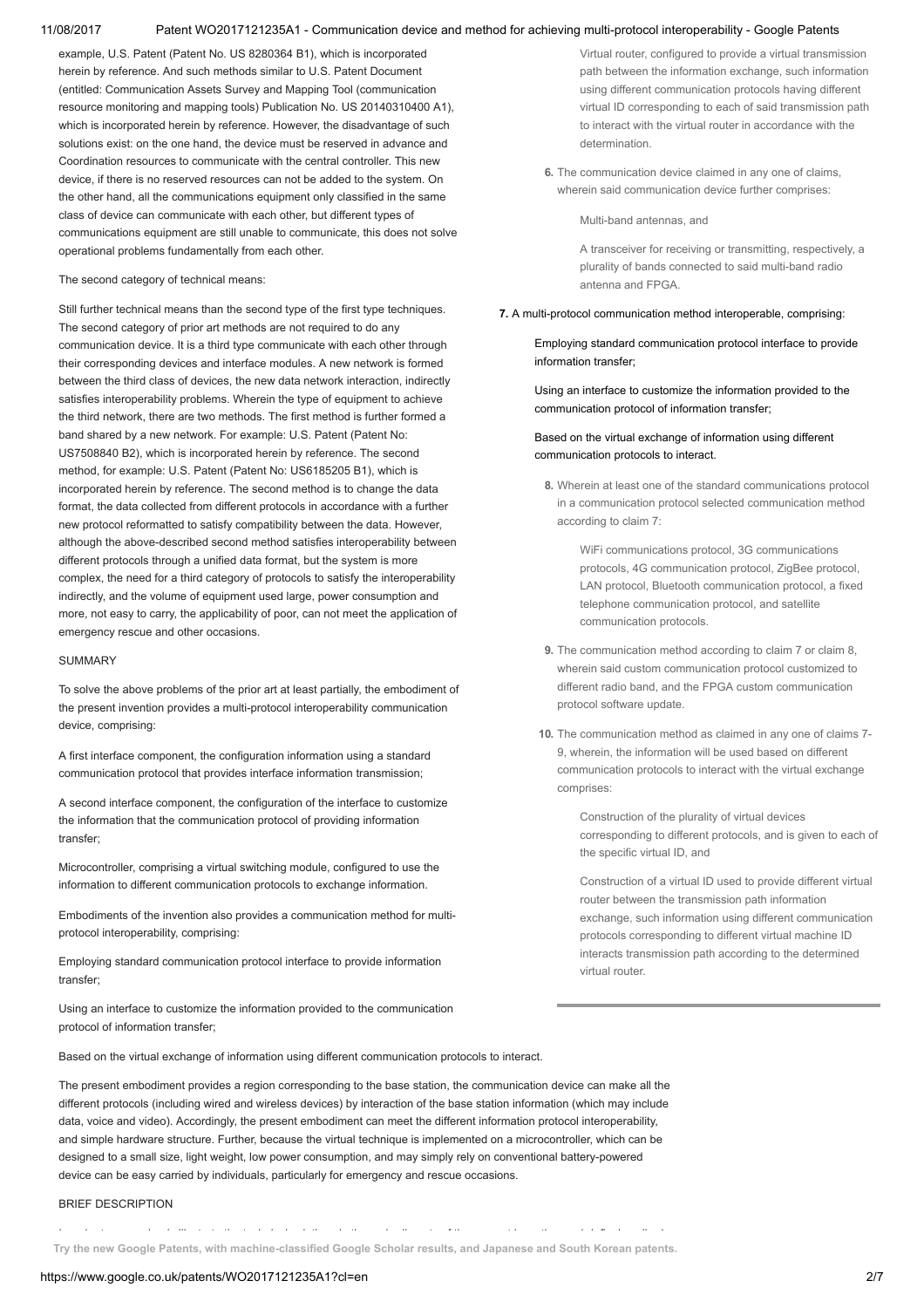example, U.S. Patent (Patent No. US 8280364 B1), which is incorporated herein by reference. And such methods similar to U.S. Patent Document (entitled: Communication Assets Survey and Mapping Tool (communication resource monitoring and mapping tools) Publication No. US 20140310400 A1), which is incorporated herein by reference. However, the disadvantage of such solutions exist: on the one hand, the device must be reserved in advance and Coordination resources to communicate with the central controller. This new device, if there is no reserved resources can not be added to the system. On the other hand, all the communications equipment only classified in the same class of device can communicate with each other, but different types of communications equipment are still unable to communicate, this does not solve operational problems fundamentally from each other.

### The second category of technical means:

Still further technical means than the second type of the first type techniques. The second category of prior art methods are not required to do any communication device. It is a third type communicate with each other through their corresponding devices and interface modules. A new network is formed between the third class of devices, the new data network interaction, indirectly satisfies interoperability problems. Wherein the type of equipment to achieve the third network, there are two methods. The first method is further formed a band shared by a new network. For example: U.S. Patent (Patent No: US7508840 B2), which is incorporated herein by reference. The second method, for example: U.S. Patent (Patent No: US6185205 B1), which is incorporated herein by reference. The second method is to change the data format, the data collected from different protocols in accordance with a further new protocol reformatted to satisfy compatibility between the data. However, although the above-described second method satisfies interoperability between different protocols through a unified data format, but the system is more complex, the need for a third category of protocols to satisfy the interoperability indirectly, and the volume of equipment used large, power consumption and more, not easy to carry, the applicability of poor, can not meet the application of emergency rescue and other occasions.

### **SUMMARY**

To solve the above problems of the prior art at least partially, the embodiment of the present invention provides a multi-protocol interoperability communication device, comprising:

A first interface component, the configuration information using a standard communication protocol that provides interface information transmission;

A second interface component, the configuration of the interface to customize the information that the communication protocol of providing information transfer;

Microcontroller, comprising a virtual switching module, configured to use the information to different communication protocols to exchange information.

Embodiments of the invention also provides a communication method for multiprotocol interoperability, comprising:

Employing standard communication protocol interface to provide information transfer;

Using an interface to customize the information provided to the communication protocol of information transfer;

Virtual router, configured to provide a virtual transmission path between the information exchange, such information using different communication protocols having different virtual ID corresponding to each of said transmission path to interact with the virtual router in accordance with the determination.

6. The communication device claimed in any one of claims wherein said communication device further comprises:

Multi-band antennas, and

A transceiver for receiving or transmitting, respectively, a plurality of bands connected to said multi-band radio antenna and FPGA.

## 7. A multi-protocol communication method interoperable, comprising:

Employing standard communication protocol interface to provide information transfer;

Using an interface to customize the information provided to the communication protocol of information transfer;

# Based on the virtual exchange of information using different communication protocols to interact.

8. Wherein at least one of the standard communications protocol in a communication protocol selected communication method according to claim 7:

> WiFi communications protocol, 3G communications protocols, 4G communication protocol, ZigBee protocol, LAN protocol, Bluetooth communication protocol, a fixed telephone communication protocol, and satellite communication protocols.

- 9. The communication method according to claim 7 or claim 8, wherein said custom communication protocol customized to different radio band, and the FPGA custom communication protocol software update.
- 10. The communication method as claimed in any one of claims 7- 9, wherein, the information will be used based on different communication protocols to interact with the virtual exchange comprises:

Construction of the plurality of virtual devices corresponding to different protocols, and is given to each of the specific virtual ID, and

Construction of a virtual ID used to provide different virtual router between the transmission path information exchange, such information using different communication protocols corresponding to different virtual machine ID interacts transmission path according to the determined virtual router.

Based on the virtual exchange of information using different communication protocols to interact.

The present embodiment provides a region corresponding to the base station, the communication device can make all the different protocols (including wired and wireless devices) by interaction of the base station information (which may include data, voice and video). Accordingly, the present embodiment can meet the different information protocol interoperability, and simple hardware structure. Further, because the virtual technique is implemented on a microcontroller, which can be designed to a small size, light weight, low power consumption, and may simply rely on conventional battery-powered device can be easy carried by individuals, particularly for emergency and rescue occasions.

## BRIEF DESCRIPTION

Try the new Google Patents, with [machine-classified](https://patents.google.com/) Google Scholar results, and Japanese and South Korean patents,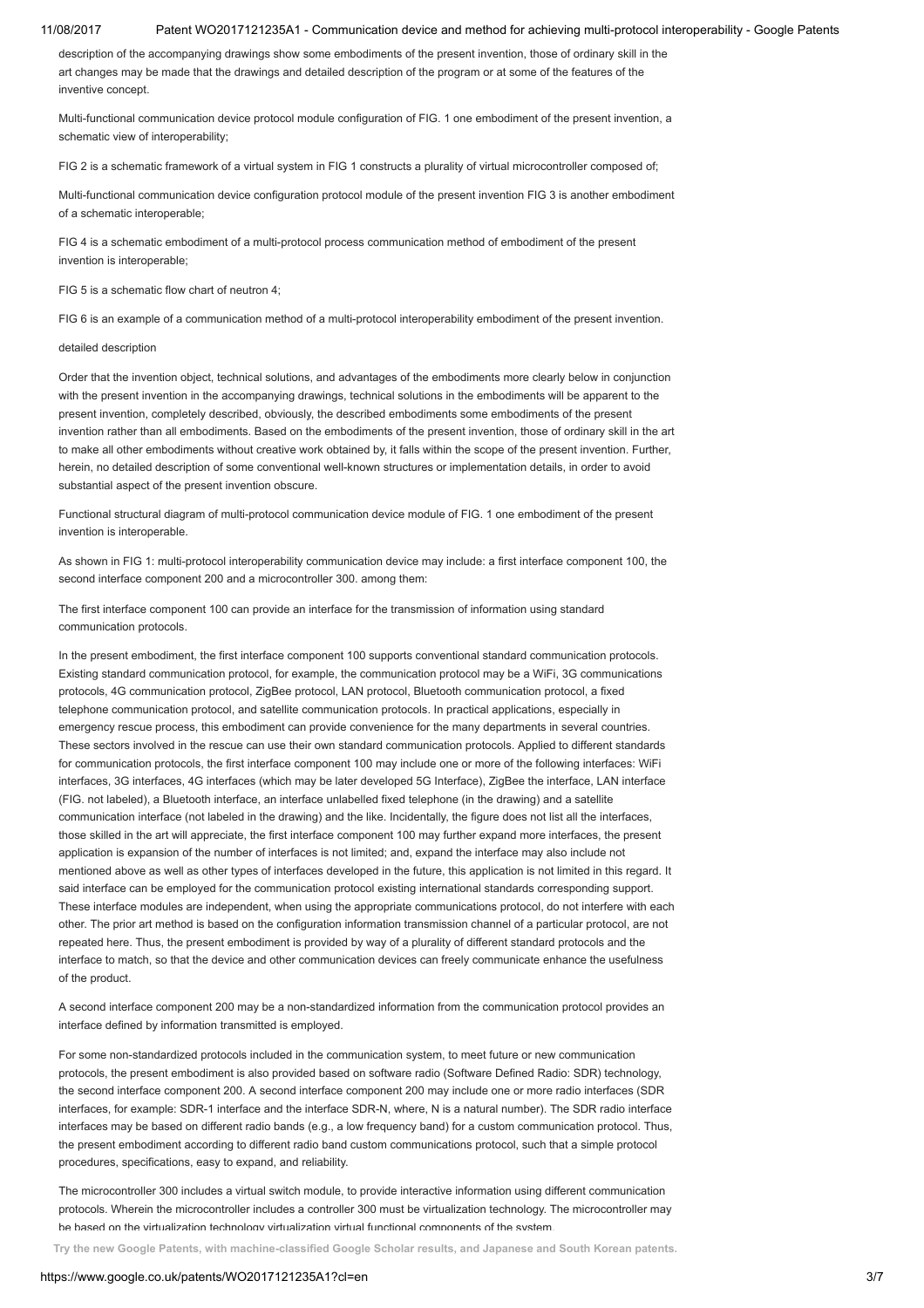description of the accompanying drawings show some embodiments of the present invention, those of ordinary skill in the art changes may be made that the drawings and detailed description of the program or at some of the features of the inventive concept.

Multi-functional communication device protocol module configuration of FIG. 1 one embodiment of the present invention, a schematic view of interoperability;

FIG 2 is a schematic framework of a virtual system in FIG 1 constructs a plurality of virtual microcontroller composed of;

Multi-functional communication device configuration protocol module of the present invention FIG 3 is another embodiment of a schematic interoperable;

FIG 4 is a schematic embodiment of a multi-protocol process communication method of embodiment of the present invention is interoperable;

FIG 5 is a schematic flow chart of neutron  $4<sup>1</sup>$ 

FIG 6 is an example of a communication method of a multi-protocol interoperability embodiment of the present invention.

### detailed description

Order that the invention object, technical solutions, and advantages of the embodiments more clearly below in conjunction with the present invention in the accompanying drawings, technical solutions in the embodiments will be apparent to the present invention, completely described, obviously, the described embodiments some embodiments of the present invention rather than all embodiments. Based on the embodiments of the present invention, those of ordinary skill in the art to make all other embodiments without creative work obtained by, it falls within the scope of the present invention. Further, herein, no detailed description of some conventional well-known structures or implementation details, in order to avoid substantial aspect of the present invention obscure.

Functional structural diagram of multi-protocol communication device module of FIG. 1 one embodiment of the present invention is interoperable.

As shown in FIG 1: multi-protocol interoperability communication device may include: a first interface component 100, the second interface component 200 and a microcontroller 300. among them:

The first interface component 100 can provide an interface for the transmission of information using standard communication protocols.

In the present embodiment, the first interface component 100 supports conventional standard communication protocols. Existing standard communication protocol, for example, the communication protocol may be a WiFi, 3G communications protocols, 4G communication protocol, ZigBee protocol, LAN protocol, Bluetooth communication protocol, a fixed telephone communication protocol, and satellite communication protocols. In practical applications, especially in emergency rescue process, this embodiment can provide convenience for the many departments in several countries. These sectors involved in the rescue can use their own standard communication protocols. Applied to different standards for communication protocols, the first interface component 100 may include one or more of the following interfaces: WiFi interfaces, 3G interfaces, 4G interfaces (which may be later developed 5G Interface), ZigBee the interface, LAN interface (FIG. not labeled), a Bluetooth interface, an interface unlabelled fixed telephone (in the drawing) and a satellite communication interface (not labeled in the drawing) and the like. Incidentally, the figure does not list all the interfaces, those skilled in the art will appreciate, the first interface component 100 may further expand more interfaces, the present application is expansion of the number of interfaces is not limited; and, expand the interface may also include not mentioned above as well as other types of interfaces developed in the future, this application is not limited in this regard. It said interface can be employed for the communication protocol existing international standards corresponding support. These interface modules are independent, when using the appropriate communications protocol, do not interfere with each other. The prior art method is based on the configuration information transmission channel of a particular protocol, are not repeated here. Thus, the present embodiment is provided by way of a plurality of different standard protocols and the interface to match, so that the device and other communication devices can freely communicate enhance the usefulness of the product.

A second interface component 200 may be a non-standardized information from the communication protocol provides an interface defined by information transmitted is employed.

For some non-standardized protocols included in the communication system, to meet future or new communication protocols, the present embodiment is also provided based on software radio (Software Defined Radio: SDR) technology, the second interface component 200. A second interface component 200 may include one or more radio interfaces (SDR interfaces, for example: SDR-1 interface and the interface SDR-N, where, N is a natural number). The SDR radio interface interfaces may be based on different radio bands (e.g., a low frequency band) for a custom communication protocol. Thus, the present embodiment according to different radio band custom communications protocol, such that a simple protocol procedures, specifications, easy to expand, and reliability.

The microcontroller 300 includes a virtual switch module, to provide interactive information using different communication protocols. Wherein the microcontroller includes a controller 300 must be virtualization technology. The microcontroller may be based on the virtualization technology virtualization virtual functional components of the system.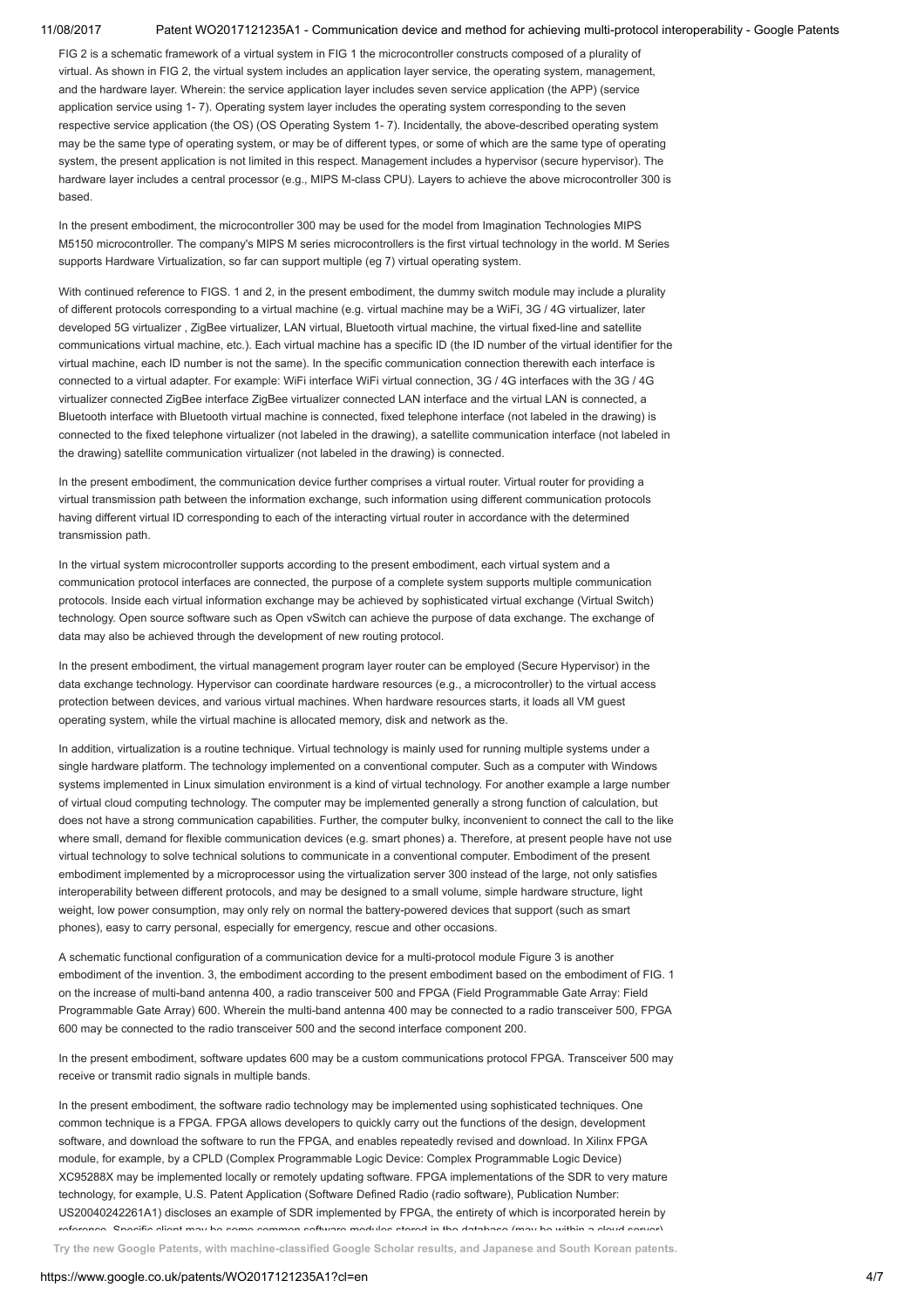FIG 2 is a schematic framework of a virtual system in FIG 1 the microcontroller constructs composed of a plurality of virtual. As shown in FIG 2, the virtual system includes an application layer service, the operating system, management, and the hardware layer. Wherein: the service application layer includes seven service application (the APP) (service application service using 1- 7). Operating system layer includes the operating system corresponding to the seven respective service application (the OS) (OS Operating System 1- 7). Incidentally, the above-described operating system may be the same type of operating system, or may be of different types, or some of which are the same type of operating system, the present application is not limited in this respect. Management includes a hypervisor (secure hypervisor). The hardware layer includes a central processor (e.g., MIPS M-class CPU). Layers to achieve the above microcontroller 300 is based.

In the present embodiment, the microcontroller 300 may be used for the model from Imagination Technologies MIPS M5150 microcontroller. The company's MIPS M series microcontrollers is the first virtual technology in the world. M Series supports Hardware Virtualization, so far can support multiple (eg 7) virtual operating system.

With continued reference to FIGS. 1 and 2, in the present embodiment, the dummy switch module may include a plurality of different protocols corresponding to a virtual machine (e.g. virtual machine may be a WiFi, 3G / 4G virtualizer, later developed 5G virtualizer , ZigBee virtualizer, LAN virtual, Bluetooth virtual machine, the virtual fixed-line and satellite communications virtual machine, etc.). Each virtual machine has a specific ID (the ID number of the virtual identifier for the virtual machine, each ID number is not the same). In the specific communication connection therewith each interface is connected to a virtual adapter. For example: WiFi interface WiFi virtual connection, 3G / 4G interfaces with the 3G / 4G virtualizer connected ZigBee interface ZigBee virtualizer connected LAN interface and the virtual LAN is connected, a Bluetooth interface with Bluetooth virtual machine is connected, fixed telephone interface (not labeled in the drawing) is connected to the fixed telephone virtualizer (not labeled in the drawing), a satellite communication interface (not labeled in the drawing) satellite communication virtualizer (not labeled in the drawing) is connected.

In the present embodiment, the communication device further comprises a virtual router. Virtual router for providing a virtual transmission path between the information exchange, such information using different communication protocols having different virtual ID corresponding to each of the interacting virtual router in accordance with the determined transmission path.

In the virtual system microcontroller supports according to the present embodiment, each virtual system and a communication protocol interfaces are connected, the purpose of a complete system supports multiple communication protocols. Inside each virtual information exchange may be achieved by sophisticated virtual exchange (Virtual Switch) technology. Open source software such as Open vSwitch can achieve the purpose of data exchange. The exchange of data may also be achieved through the development of new routing protocol.

In the present embodiment, the virtual management program layer router can be employed (Secure Hypervisor) in the data exchange technology. Hypervisor can coordinate hardware resources (e.g., a microcontroller) to the virtual access protection between devices, and various virtual machines. When hardware resources starts, it loads all VM guest operating system, while the virtual machine is allocated memory, disk and network as the.

In addition, virtualization is a routine technique. Virtual technology is mainly used for running multiple systems under a single hardware platform. The technology implemented on a conventional computer. Such as a computer with Windows systems implemented in Linux simulation environment is a kind of virtual technology. For another example a large number of virtual cloud computing technology. The computer may be implemented generally a strong function of calculation, but does not have a strong communication capabilities. Further, the computer bulky, inconvenient to connect the call to the like where small, demand for flexible communication devices (e.g. smart phones) a. Therefore, at present people have not use virtual technology to solve technical solutions to communicate in a conventional computer. Embodiment of the present embodiment implemented by a microprocessor using the virtualization server 300 instead of the large, not only satisfies interoperability between different protocols, and may be designed to a small volume, simple hardware structure, light weight, low power consumption, may only rely on normal the battery-powered devices that support (such as smart phones), easy to carry personal, especially for emergency, rescue and other occasions.

A schematic functional configuration of a communication device for a multi-protocol module Figure 3 is another embodiment of the invention. 3, the embodiment according to the present embodiment based on the embodiment of FIG. 1 on the increase of multi-band antenna 400, a radio transceiver 500 and FPGA (Field Programmable Gate Array: Field Programmable Gate Array) 600. Wherein the multi-band antenna 400 may be connected to a radio transceiver 500, FPGA 600 may be connected to the radio transceiver 500 and the second interface component 200.

In the present embodiment, software updates 600 may be a custom communications protocol FPGA. Transceiver 500 may receive or transmit radio signals in multiple bands.

In the present embodiment, the software radio technology may be implemented using sophisticated techniques. One common technique is a FPGA. FPGA allows developers to quickly carry out the functions of the design, development software, and download the software to run the FPGA, and enables repeatedly revised and download. In Xilinx FPGA module, for example, by a CPLD (Complex Programmable Logic Device: Complex Programmable Logic Device) XC95288X may be implemented locally or remotely updating software. FPGA implementations of the SDR to very mature technology, for example, U.S. Patent Application (Software Defined Radio (radio software), Publication Number: US20040242261A1) discloses an example of SDR implemented by FPGA, the entirety of which is incorporated herein by reference. Specific client may be some common software modules stored in the database (may be within a cloud server).

Try the new Google Patents, with machine-classified Google Scholar results, and Japanese and South Korean [patents.](https://patents.google.com/)

### https://www.google.co.uk/patents/WO2017121235A1?cl=en 4/7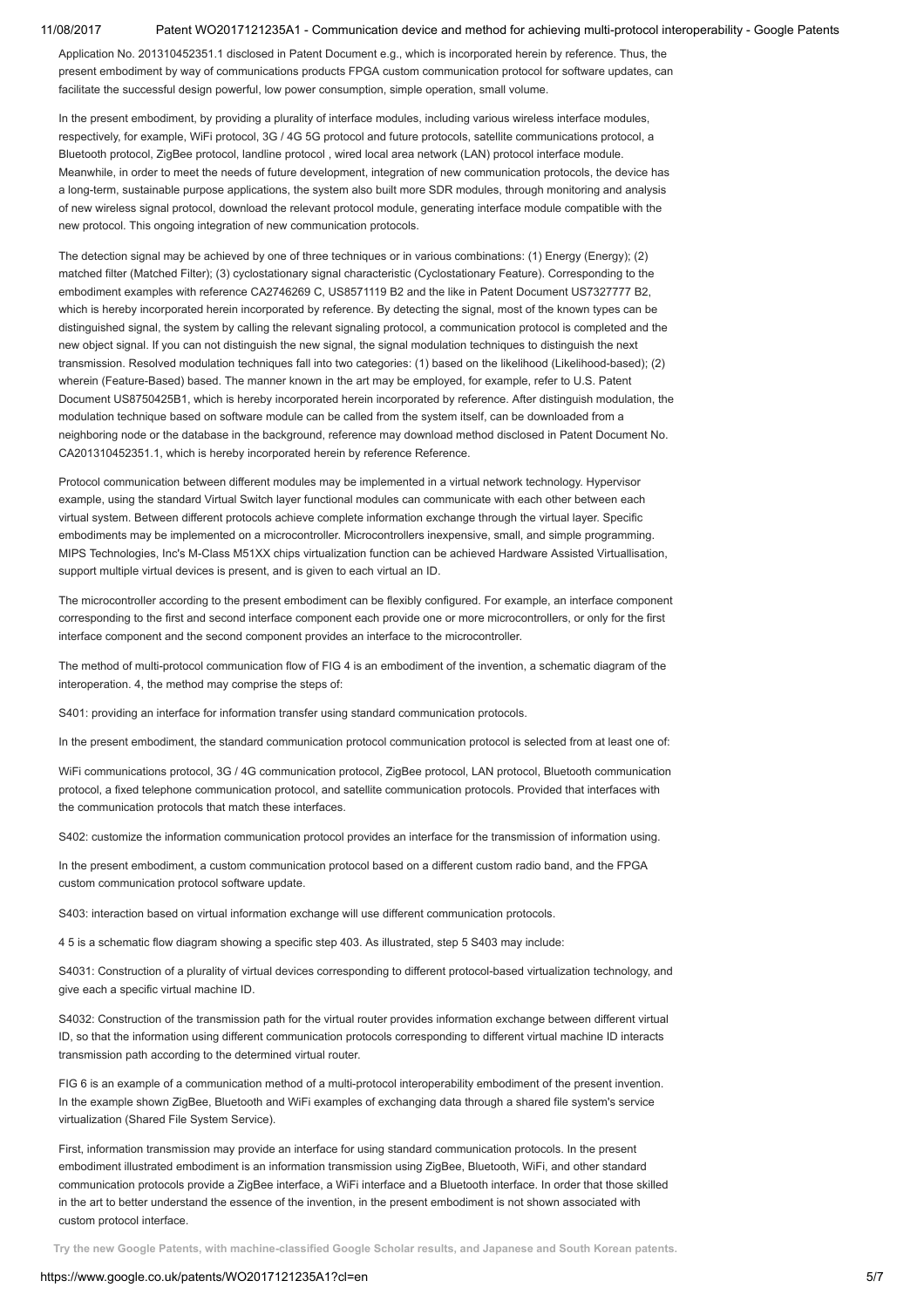Application No. 201310452351.1 disclosed in Patent Document e.g., which is incorporated herein by reference. Thus, the present embodiment by way of communications products FPGA custom communication protocol for software updates, can facilitate the successful design powerful, low power consumption, simple operation, small volume.

In the present embodiment, by providing a plurality of interface modules, including various wireless interface modules, respectively, for example, WiFi protocol, 3G / 4G 5G protocol and future protocols, satellite communications protocol, a Bluetooth protocol, ZigBee protocol, landline protocol , wired local area network (LAN) protocol interface module. Meanwhile, in order to meet the needs of future development, integration of new communication protocols, the device has a long-term, sustainable purpose applications, the system also built more SDR modules, through monitoring and analysis of new wireless signal protocol, download the relevant protocol module, generating interface module compatible with the new protocol. This ongoing integration of new communication protocols.

The detection signal may be achieved by one of three techniques or in various combinations: (1) Energy (Energy); (2) matched filter (Matched Filter); (3) cyclostationary signal characteristic (Cyclostationary Feature). Corresponding to the embodiment examples with reference CA2746269 C, US8571119 B2 and the like in Patent Document US7327777 B2, which is hereby incorporated herein incorporated by reference. By detecting the signal, most of the known types can be distinguished signal, the system by calling the relevant signaling protocol, a communication protocol is completed and the new object signal. If you can not distinguish the new signal, the signal modulation techniques to distinguish the next transmission. Resolved modulation techniques fall into two categories: (1) based on the likelihood (Likelihood-based); (2) wherein (Feature-Based) based. The manner known in the art may be employed, for example, refer to U.S. Patent Document US8750425B1, which is hereby incorporated herein incorporated by reference. After distinguish modulation, the modulation technique based on software module can be called from the system itself, can be downloaded from a neighboring node or the database in the background, reference may download method disclosed in Patent Document No. CA201310452351.1, which is hereby incorporated herein by reference Reference.

Protocol communication between different modules may be implemented in a virtual network technology. Hypervisor example, using the standard Virtual Switch layer functional modules can communicate with each other between each virtual system. Between different protocols achieve complete information exchange through the virtual layer. Specific embodiments may be implemented on a microcontroller. Microcontrollers inexpensive, small, and simple programming. MIPS Technologies, Inc's M-Class M51XX chips virtualization function can be achieved Hardware Assisted Virtuallisation, support multiple virtual devices is present, and is given to each virtual an ID.

The microcontroller according to the present embodiment can be flexibly configured. For example, an interface component corresponding to the first and second interface component each provide one or more microcontrollers, or only for the first interface component and the second component provides an interface to the microcontroller.

The method of multi-protocol communication flow of FIG 4 is an embodiment of the invention, a schematic diagram of the interoperation. 4, the method may comprise the steps of:

S401: providing an interface for information transfer using standard communication protocols.

In the present embodiment, the standard communication protocol communication protocol is selected from at least one of:

WiFi communications protocol, 3G / 4G communication protocol, ZigBee protocol, LAN protocol, Bluetooth communication protocol, a fixed telephone communication protocol, and satellite communication protocols. Provided that interfaces with the communication protocols that match these interfaces.

S402: customize the information communication protocol provides an interface for the transmission of information using.

In the present embodiment, a custom communication protocol based on a different custom radio band, and the FPGA custom communication protocol software update.

S403: interaction based on virtual information exchange will use different communication protocols.

4 5 is a schematic flow diagram showing a specific step 403. As illustrated, step 5 S403 may include:

S4031: Construction of a plurality of virtual devices corresponding to different protocol-based virtualization technology, and give each a specific virtual machine ID.

S4032: Construction of the transmission path for the virtual router provides information exchange between different virtual ID, so that the information using different communication protocols corresponding to different virtual machine ID interacts transmission path according to the determined virtual router.

FIG 6 is an example of a communication method of a multi-protocol interoperability embodiment of the present invention. In the example shown ZigBee, Bluetooth and WiFi examples of exchanging data through a shared file system's service virtualization (Shared File System Service).

First, information transmission may provide an interface for using standard communication protocols. In the present embodiment illustrated embodiment is an information transmission using ZigBee, Bluetooth, WiFi, and other standard communication protocols provide a ZigBee interface, a WiFi interface and a Bluetooth interface. In order that those skilled in the art to better understand the essence of the invention, in the present embodiment is not shown associated with custom protocol interface.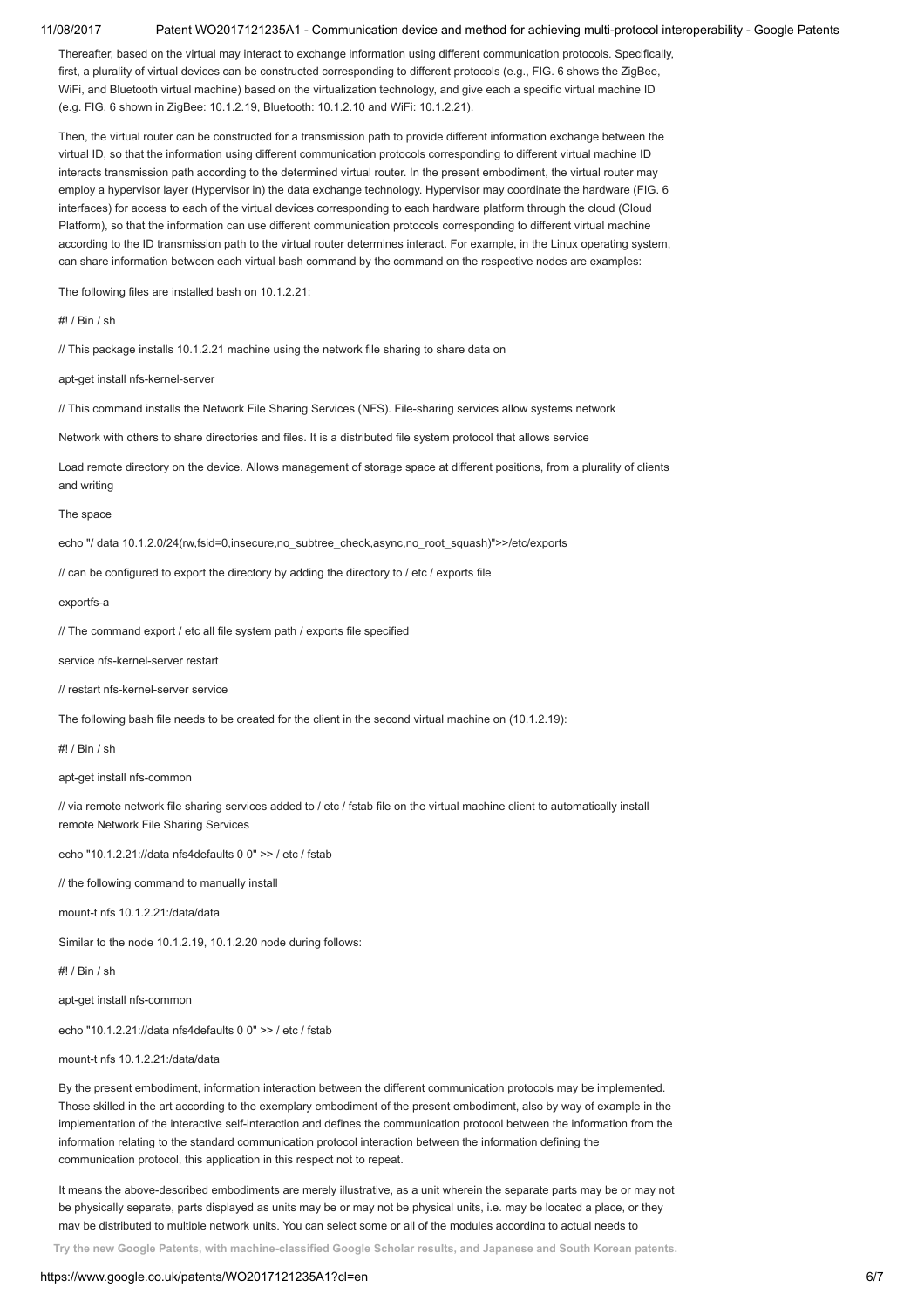Thereafter, based on the virtual may interact to exchange information using different communication protocols. Specifically, first, a plurality of virtual devices can be constructed corresponding to different protocols (e.g., FIG. 6 shows the ZigBee, WiFi, and Bluetooth virtual machine) based on the virtualization technology, and give each a specific virtual machine ID (e.g. FIG. 6 shown in ZigBee: 10.1.2.19, Bluetooth: 10.1.2.10 and WiFi: 10.1.2.21).

Then, the virtual router can be constructed for a transmission path to provide different information exchange between the virtual ID, so that the information using different communication protocols corresponding to different virtual machine ID interacts transmission path according to the determined virtual router. In the present embodiment, the virtual router may employ a hypervisor layer (Hypervisor in) the data exchange technology. Hypervisor may coordinate the hardware (FIG. 6 interfaces) for access to each of the virtual devices corresponding to each hardware platform through the cloud (Cloud Platform), so that the information can use different communication protocols corresponding to different virtual machine according to the ID transmission path to the virtual router determines interact. For example, in the Linux operating system, can share information between each virtual bash command by the command on the respective nodes are examples:

The following files are installed bash on 10.1.2.21:

#! / Bin / sh

// This package installs 10.1.2.21 machine using the network file sharing to share data on

apt-get install nfs-kernel-server

// This command installs the Network File Sharing Services (NFS). File-sharing services allow systems network

Network with others to share directories and files. It is a distributed file system protocol that allows service

Load remote directory on the device. Allows management of storage space at different positions, from a plurality of clients and writing

The space

echo "/ data 10.1.2.0/24(rw,fsid=0,insecure,no\_subtree\_check,async,no\_root\_squash)">>/etc/exports

// can be configured to export the directory by adding the directory to / etc / exports file

exportfs-a

// The command export / etc all file system path / exports file specified

service nfs-kernel-server restart

// restart nfs-kernel-server service

The following bash file needs to be created for the client in the second virtual machine on (10.1.2.19):

#! / Bin / sh

apt-get install nfs-common

// via remote network file sharing services added to / etc / fstab file on the virtual machine client to automatically install remote Network File Sharing Services

echo "10.1.2.21://data nfs4defaults 0 0" >> / etc / fstab

// the following command to manually install

mount-t nfs 10.1.2.21:/data/data

Similar to the node 10.1.2.19, 10.1.2.20 node during follows:

#! / Bin / sh

apt-get install nfs-common

echo "10.1.2.21://data nfs4defaults 0 0" >> / etc / fstab

mount-t nfs 10.1.2.21:/data/data

By the present embodiment, information interaction between the different communication protocols may be implemented. Those skilled in the art according to the exemplary embodiment of the present embodiment, also by way of example in the implementation of the interactive self-interaction and defines the communication protocol between the information from the information relating to the standard communication protocol interaction between the information defining the communication protocol, this application in this respect not to repeat.

It means the above-described embodiments are merely illustrative, as a unit wherein the separate parts may be or may not be physically separate, parts displayed as units may be or may not be physical units, i.e. may be located a place, or they may be distributed to multiple network units. You can select some or all of the modules according to actual needs to